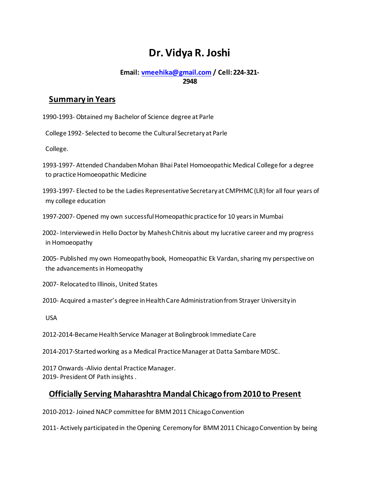# **Dr. Vidya R. Joshi**

#### **Email[: vmeehika@gmail.com](mailto:vmeehika@gmail.com) / Cell: 224-321- 2948**

### **Summary in Years**

1990-1993- Obtained my Bachelor of Science degree at Parle

College 1992- Selected to become the Cultural Secretary at Parle

College.

1993-1997- Attended Chandaben Mohan Bhai Patel Homoeopathic Medical College for a degree to practice Homoeopathic Medicine

1993-1997- Elected to be the Ladies Representative Secretary at CMPHMC (LR) for all four years of my college education

1997-2007- Opened my own successful Homeopathic practice for 10 years in Mumbai

2002- Interviewed in Hello Doctor by Mahesh Chitnis about my lucrative career and my progress in Homoeopathy

2005- Published my own Homeopathy book, Homeopathic Ek Vardan, sharing my perspective on the advancements in Homeopathy

2007- Relocated to Illinois, United States

2010- Acquired a master's degree in Health Care Administration from Strayer University in

USA

2012-2014-Became Health Service Manager at Bolingbrook Immediate Care

2014-2017-Started working as a Medical Practice Manager at Datta Sambare MDSC.

2017 Onwards-Alivio dental Practice Manager. 2019- President Of Path insights .

## **Officially Serving Maharashtra Mandal Chicago from 2010 to Present**

2010-2012- Joined NACP committee for BMM 2011 Chicago Convention

2011- Actively participated in the Opening Ceremony for BMM 2011 Chicago Convention by being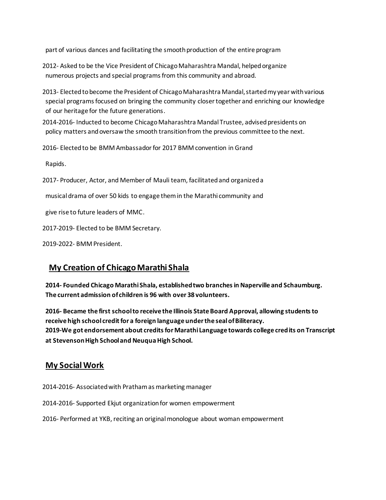part of various dances and facilitating the smooth production of the entire program

2012- Asked to be the Vice President of Chicago Maharashtra Mandal, helped organize numerous projects and special programs from this community and abroad.

- 2013- Elected to become the President of Chicago Maharashtra Mandal, started my year with various special programs focused on bringing the community closer together and enriching our knowledge of our heritage for the future generations.
- 2014-2016- Inducted to become Chicago Maharashtra Mandal Trustee, advised presidents on policy matters and oversaw the smooth transition from the previous committee to the next.
- 2016- Elected to be BMM Ambassador for 2017 BMM convention in Grand

Rapids.

2017- Producer, Actor, and Member of Mauli team, facilitated and organized a

musical drama of over 50 kids to engage them in the Marathi community and

give rise to future leaders of MMC.

2017-2019- Elected to be BMM Secretary.

2019-2022- BMM President.

## **My Creation of Chicago Marathi Shala**

**2014- Founded Chicago Marathi Shala, established two branches in Naperville and Schaumburg. The current admission of children is 96 with over 38 volunteers.**

**2016- Became the first school to receive the Illinois State Board Approval, allowing students to receive high school credit for a foreign language under the seal of Biliteracy. 2019-We got endorsement about credits for Marathi Language towards college credits on Transcript at Stevenson High School and Neuqua High School.**

#### **My Social Work**

2014-2016- Associated with Pratham as marketing manager

2014-2016- Supported Ekjut organization for women empowerment

2016- Performed at YKB, reciting an original monologue about woman empowerment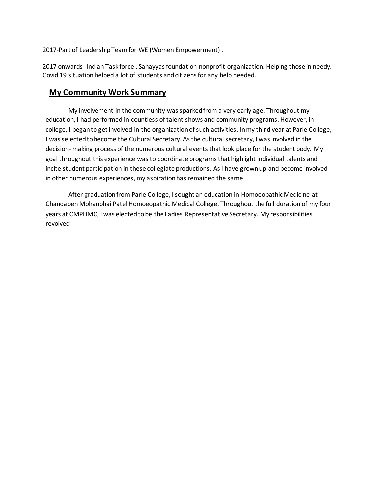2017-Part of Leadership Team for WE (Women Empowerment) .

2017 onwards- Indian Task force , Sahayyas foundation nonprofit organization. Helping those in needy. Covid 19 situation helped a lot of students and citizens for any help needed.

#### **My Community Work Summary**

My involvement in the community was sparked from a very early age. Throughout my education, I had performed in countless of talent shows and community programs. However, in college, I began to get involved in the organization of such activities. In my third year at Parle College, I was selected to become the Cultural Secretary. As the cultural secretary, I was involved in the decision- making process of the numerous cultural events that look place for the student body. My goal throughout this experience was to coordinate programs that highlight individual talents and incite student participation in these collegiate productions. As I have grown up and become involved in other numerous experiences, my aspiration has remained the same.

After graduation from Parle College, I sought an education in Homoeopathic Medicine at Chandaben Mohanbhai Patel Homoeopathic Medical College. Throughout the full duration of my four years at CMPHMC, I was elected to be the Ladies Representative Secretary. My responsibilities revolved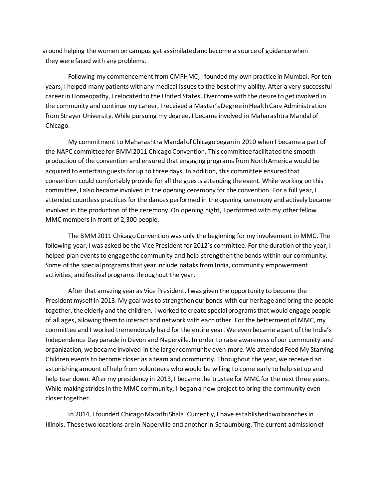around helping the women on campus get assimilated and become a source of guidance when they were faced with any problems.

Following my commencement from CMPHMC, I founded my own practice in Mumbai. For ten years, I helped many patients with any medical issues to the best of my ability. After a very successful career in Homeopathy, I relocated to the United States. Overcome with the desire to get involved in the community and continue my career, I received a Master's Degree in Health Care Administration from Strayer University. While pursuing my degree, I became involved in Maharashtra Mandal of Chicago.

My commitment to Maharashtra Mandal of Chicago began in 2010 when I became a part of the NAPC committee for BMM 2011 Chicago Convention. This committee facilitated the smooth production of the convention and ensured that engaging programs from North America would be acquired to entertain guests for up to three days. In addition, this committee ensured that convention could comfortably provide for all the guests attending the event. While working on this committee, I also became involved in the opening ceremony for the convention. For a full year, I attended countless practices for the dances performed in the opening ceremony and actively became involved in the production of the ceremony. On opening night, I performed with my other fellow MMC members in front of 2,300 people.

The BMM 2011 Chicago Convention was only the beginning for my involvement in MMC. The following year, I was asked be the Vice President for 2012's committee. For the duration of the year, I helped plan events to engage the community and help strengthenthe bonds within our community. Some of the special programs that year include nataks from India, community empowerment activities, and festival programs throughout the year.

After that amazing year as Vice President, I was given the opportunity to become the President myself in 2013. My goal was to strengthen our bonds with our heritage and bring the people together, the elderly and the children. I worked to create special programs that would engage people of all ages, allowing them to interact and network with each other. For the betterment of MMC, my committee and I worked tremendously hard for the entire year. We even became a part of the India's Independence Day parade in Devon and Naperville. In order to raise awareness of our community and organization, we became involved in the larger community even more. We attended Feed My Starving Children events to become closer as a team and community. Throughout the year, we received an astonishing amount of help from volunteers who would be willing to come early to help set up and help tear down. After my presidency in 2013, I became the trustee for MMC for the next three years. While making strides in the MMC community, I began a new project to bring the community even closer together.

In 2014, I founded Chicago Marathi Shala. Currently, I have established two branches in Illinois. These two locations are in Naperville and another in Schaumburg. The current admission of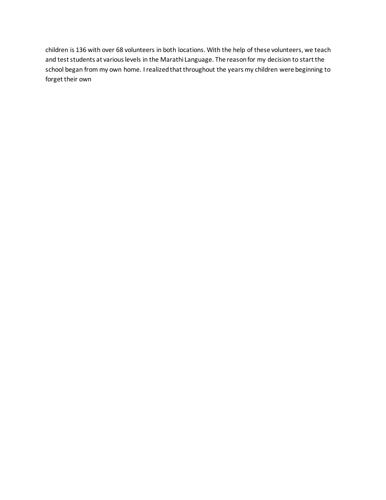children is 136 with over 68 volunteers in both locations. With the help of these volunteers, we teach and test students at various levels in the Marathi Language. The reason for my decision to start the school began from my own home. I realized that throughout the years my children were beginning to forget their own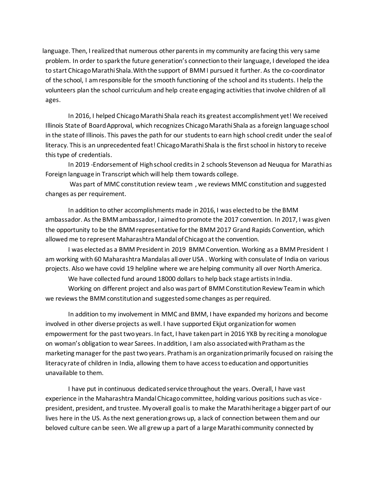language. Then, I realized that numerous other parents in my community are facing this very same problem. In order to spark the future generation's connection to their language, I developed the idea to start Chicago Marathi Shala.With the support of BMM I pursued it further. As the co-coordinator of the school, I am responsible for the smooth functioning of the school and its students. I help the volunteers plan the school curriculum and help create engaging activities that involve children of all ages.

In 2016, I helped Chicago Marathi Shala reach its greatest accomplishment yet! We received Illinois State of Board Approval, which recognizes Chicago Marathi Shala as a foreign language school in the state of Illinois. This paves the path for our students to earn high school credit under the seal of literacy. This is an unprecedented feat! Chicago Marathi Shala is the first school in history to receive this type of credentials.

In 2019 -Endorsement of High school credits in 2 schools Stevenson ad Neuqua for Marathi as Foreign language in Transcript which will help them towards college.

Was part of MMC constitution review team , we reviews MMC constitution and suggested changes as per requirement.

In addition to other accomplishments made in 2016, I was elected to be the BMM ambassador. As the BMM ambassador, I aimed to promote the 2017 convention. In 2017, I was given the opportunity to be the BMM representative for the BMM 2017 Grand Rapids Convention, which allowed me to represent Maharashtra Mandal of Chicago at the convention.

I was elected as a BMM President in 2019 BMM Convention. Working as a BMM President I am working with 60 Maharashtra Mandalas all over USA . Working with consulate of India on various projects. Also we have covid 19 helpline where we are helping community all over North America.

We have collected fund around 18000 dollars to help back stage artists in India.

Working on different project and also was part of BMM Constitution Review Team in which we reviews the BMM constitution and suggested some changes as per required.

In addition to my involvement in MMC and BMM, I have expanded my horizons and become involved in other diverse projects as well. I have supported Ekjut organization for women empowerment for the past two years. In fact, I have taken part in 2016 YKB by reciting a monologue on woman's obligation to wear Sarees. In addition, I am also associated with Pratham as the marketing manager for the past two years. Pratham is an organization primarily focused on raising the literacy rate of children in India, allowing them to have access to education and opportunities unavailable to them.

I have put in continuous dedicated service throughout the years. Overall, I have vast experience in the Maharashtra Mandal Chicago committee, holding various positions such as vicepresident, president, and trustee. My overall goal is to make the Marathi heritage a bigger part of our lives here in the US. As the next generation grows up, a lack of connection between them and our beloved culture can be seen. We all grew up a part of a large Marathi community connected by